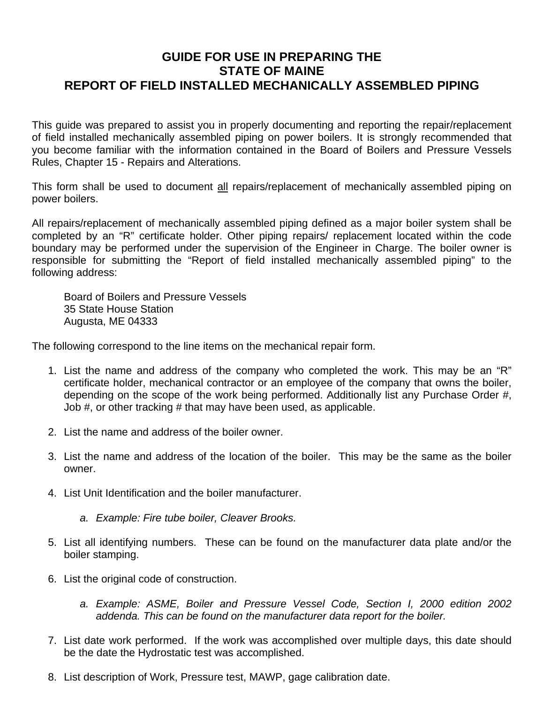## **GUIDE FOR USE IN PREPARING THE STATE OF MAINE REPORT OF FIELD INSTALLED MECHANICALLY ASSEMBLED PIPING**

This guide was prepared to assist you in properly documenting and reporting the repair/replacement of field installed mechanically assembled piping on power boilers. It is strongly recommended that you become familiar with the information contained in the Board of Boilers and Pressure Vessels Rules, Chapter 15 - Repairs and Alterations.

This form shall be used to document all repairs/replacement of mechanically assembled piping on power boilers.

All repairs/replacement of mechanically assembled piping defined as a major boiler system shall be completed by an "R" certificate holder. Other piping repairs/ replacement located within the code boundary may be performed under the supervision of the Engineer in Charge. The boiler owner is responsible for submitting the "Report of field installed mechanically assembled piping" to the following address:

Board of Boilers and Pressure Vessels 35 State House Station Augusta, ME 04333

The following correspond to the line items on the mechanical repair form.

- 1. List the name and address of the company who completed the work. This may be an "R" certificate holder, mechanical contractor or an employee of the company that owns the boiler, depending on the scope of the work being performed. Additionally list any Purchase Order #, Job #, or other tracking # that may have been used, as applicable.
- 2. List the name and address of the boiler owner.
- 3. List the name and address of the location of the boiler. This may be the same as the boiler owner.
- 4. List Unit Identification and the boiler manufacturer.
	- *a. Example: Fire tube boiler, Cleaver Brooks.*
- 5. List all identifying numbers. These can be found on the manufacturer data plate and/or the boiler stamping.
- 6. List the original code of construction.
	- *a. Example: ASME, Boiler and Pressure Vessel Code, Section I, 2000 edition 2002 addenda. This can be found on the manufacturer data report for the boiler.*
- 7. List date work performed. If the work was accomplished over multiple days, this date should be the date the Hydrostatic test was accomplished.
- 8. List description of Work, Pressure test, MAWP, gage calibration date.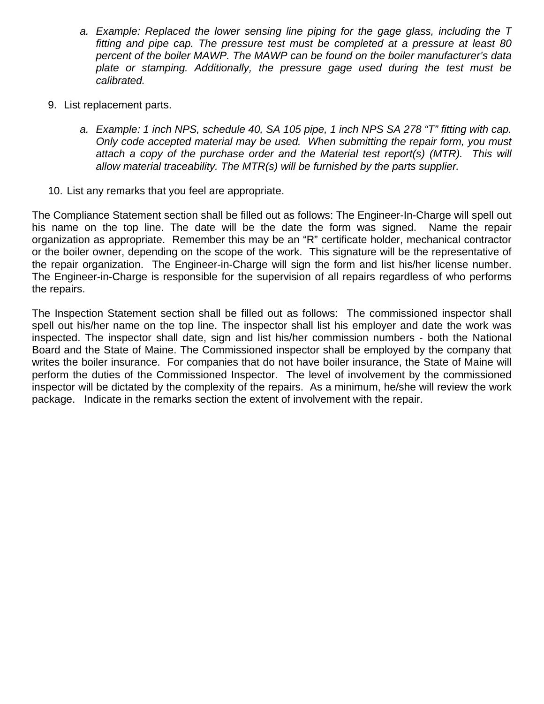- *a. Example: Replaced the lower sensing line piping for the gage glass, including the T fitting and pipe cap. The pressure test must be completed at a pressure at least 80 percent of the boiler MAWP. The MAWP can be found on the boiler manufacturer's data*  plate or stamping. Additionally, the pressure gage used during the test must be *calibrated.*
- 9. List replacement parts.
	- *a. Example: 1 inch NPS, schedule 40, SA 105 pipe, 1 inch NPS SA 278 "T" fitting with cap. Only code accepted material may be used. When submitting the repair form, you must attach a copy of the purchase order and the Material test report(s) (MTR). This will allow material traceability. The MTR(s) will be furnished by the parts supplier.*
- 10. List any remarks that you feel are appropriate.

The Compliance Statement section shall be filled out as follows: The Engineer-In-Charge will spell out his name on the top line. The date will be the date the form was signed. Name the repair organization as appropriate. Remember this may be an "R" certificate holder, mechanical contractor or the boiler owner, depending on the scope of the work. This signature will be the representative of the repair organization. The Engineer-in-Charge will sign the form and list his/her license number. The Engineer-in-Charge is responsible for the supervision of all repairs regardless of who performs the repairs.

The Inspection Statement section shall be filled out as follows: The commissioned inspector shall spell out his/her name on the top line. The inspector shall list his employer and date the work was inspected. The inspector shall date, sign and list his/her commission numbers - both the National Board and the State of Maine. The Commissioned inspector shall be employed by the company that writes the boiler insurance. For companies that do not have boiler insurance, the State of Maine will perform the duties of the Commissioned Inspector. The level of involvement by the commissioned inspector will be dictated by the complexity of the repairs. As a minimum, he/she will review the work package. Indicate in the remarks section the extent of involvement with the repair.